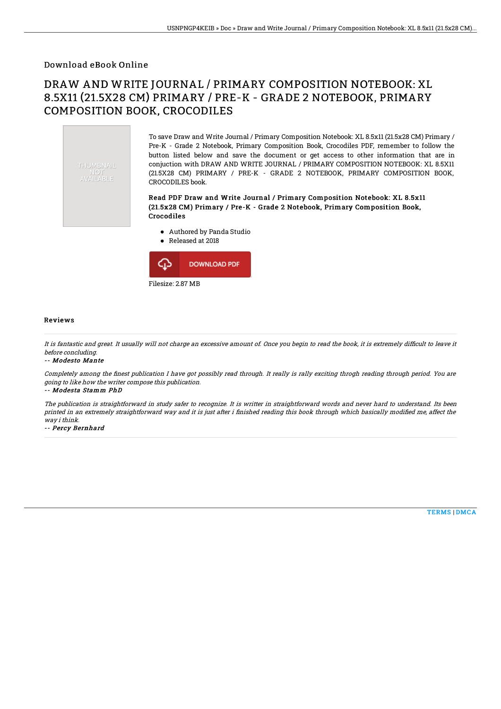Download eBook Online

## DRAW AND WRITE JOURNAL / PRIMARY COMPOSITION NOTEBOOK: XL 8.5X11 (21.5X28 CM) PRIMARY / PRE-K - GRADE 2 NOTEBOOK, PRIMARY COMPOSITION BOOK, CROCODILES

THUMBNAIL AVAILABLE

To save Draw and Write Journal / Primary Composition Notebook: XL 8.5x11 (21.5x28 CM) Primary / Pre-K - Grade 2 Notebook, Primary Composition Book, Crocodiles PDF, remember to follow the button listed below and save the document or get access to other information that are in conjuction with DRAW AND WRITE JOURNAL / PRIMARY COMPOSITION NOTEBOOK: XL 8.5X11 (21.5X28 CM) PRIMARY / PRE-K - GRADE 2 NOTEBOOK, PRIMARY COMPOSITION BOOK, CROCODILES book.

## Read PDF Draw and Write Journal / Primary Composition Notebook: XL 8.5x11 (21.5x28 CM) Primary / Pre-K - Grade 2 Notebook, Primary Composition Book, Crocodiles

- Authored by Panda Studio
- Released at 2018



## Reviews

It is fantastic and great. It usually will not charge an excessive amount of. Once you begin to read the book, it is extremely difficult to leave it before concluding.

-- Modesto Mante

Completely among the finest publication I have got possibly read through. It really is rally exciting throgh reading through period. You are going to like how the writer compose this publication.

-- Modesta Stamm PhD

The publication is straightforward in study safer to recognize. It is writter in straightforward words and never hard to understand. Its been printed in an extremely straightforward way and it is just after i finished reading this book through which basically modified me, affect the way i think.

-- Percy Bernhard